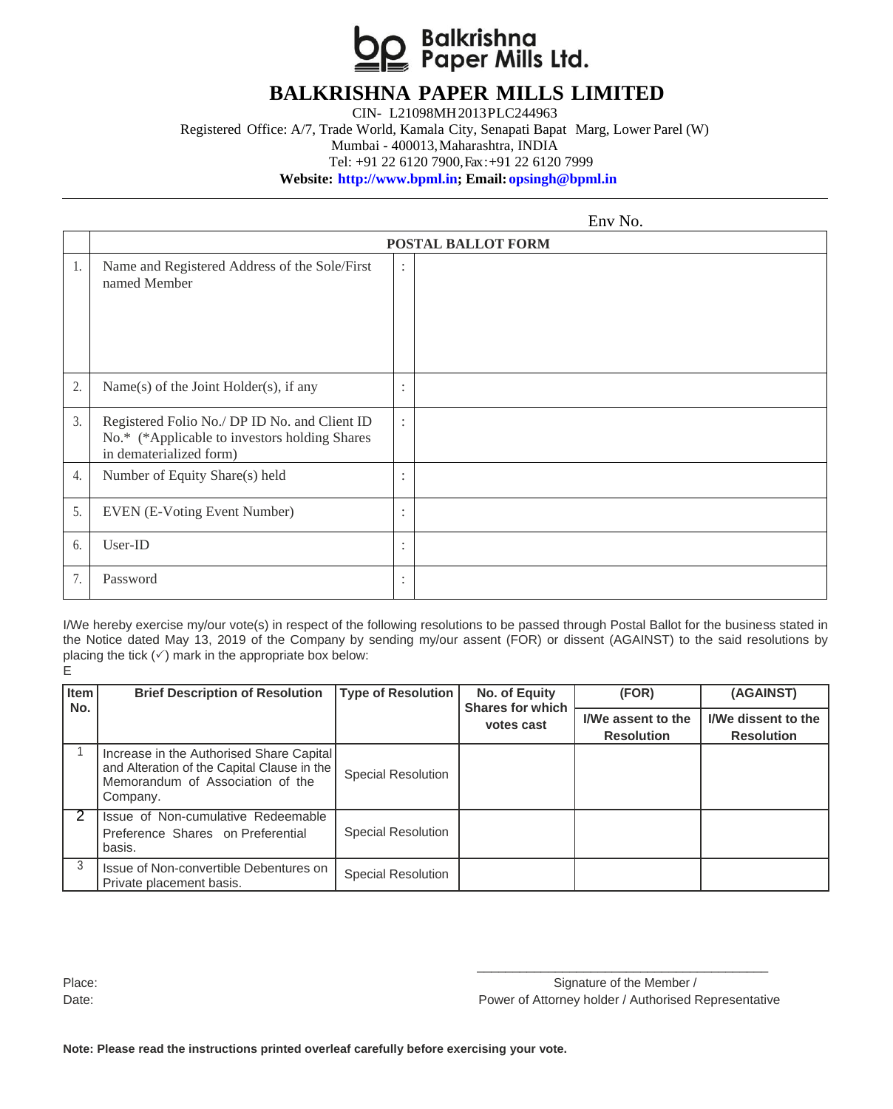

## **BALKRISHNA PAPER MILLS LIMITED**

CIN- L21098MH2013PLC244963

Registered Office: A/7, Trade World, Kamala City, Senapati Bapat Marg, Lower Parel (W) Mumbai - 400013,Maharashtra, INDIA

Tel: +91 22 6120 7900, Fax : +91 22 6120 7999

**Website: [http://www.bpml.in;](http://www.bpml.in/) Email: [opsingh@bpml.in](mailto:opsingh@bpml.in)**

 $Env$  No.

|    |                                                                                                                           |                                 | <b>LIIV 110.</b> |  |  |  |  |  |
|----|---------------------------------------------------------------------------------------------------------------------------|---------------------------------|------------------|--|--|--|--|--|
|    | POSTAL BALLOT FORM                                                                                                        |                                 |                  |  |  |  |  |  |
| 1. | Name and Registered Address of the Sole/First<br>named Member                                                             | $\ddot{\cdot}$                  |                  |  |  |  |  |  |
| 2. | Name(s) of the Joint Holder(s), if any                                                                                    | ٠<br>$\cdot$                    |                  |  |  |  |  |  |
| 3. | Registered Folio No./ DP ID No. and Client ID<br>No.* (*Applicable to investors holding Shares<br>in dematerialized form) | $\ddot{\cdot}$                  |                  |  |  |  |  |  |
| 4. | Number of Equity Share(s) held                                                                                            | $\cdot$<br>$\ddot{\phantom{0}}$ |                  |  |  |  |  |  |
| 5. | <b>EVEN</b> (E-Voting Event Number)                                                                                       | $\bullet$<br>٠                  |                  |  |  |  |  |  |
| 6. | User-ID                                                                                                                   | $\cdot$<br>$\ddot{\phantom{0}}$ |                  |  |  |  |  |  |
| 7. | Password                                                                                                                  | ٠<br>$\cdot$                    |                  |  |  |  |  |  |

I/We hereby exercise my/our vote(s) in respect of the following resolutions to be passed through Postal Ballot for the business stated in the Notice dated May 13, 2019 of the Company by sending my/our assent (FOR) or dissent (AGAINST) to the said resolutions by placing the tick  $(\checkmark)$  mark in the appropriate box below: E

| Item<br>No.   | <b>Brief Description of Resolution</b>                                                                                                  | <b>Type of Resolution</b> | No. of Equity<br><b>Shares for which</b> | (FOR)                                   | (AGAINST)                                       |
|---------------|-----------------------------------------------------------------------------------------------------------------------------------------|---------------------------|------------------------------------------|-----------------------------------------|-------------------------------------------------|
|               |                                                                                                                                         |                           | votes cast                               | I/We assent to the<br><b>Resolution</b> | <b>I/We dissent to the</b><br><b>Resolution</b> |
|               | Increase in the Authorised Share Capital<br>and Alteration of the Capital Clause in the<br>Memorandum of Association of the<br>Company. | <b>Special Resolution</b> |                                          |                                         |                                                 |
|               | Issue of Non-cumulative Redeemable<br>Preference Shares on Preferential<br>basis.                                                       | <b>Special Resolution</b> |                                          |                                         |                                                 |
| $\mathcal{R}$ | Issue of Non-convertible Debentures on<br>Private placement basis.                                                                      | <b>Special Resolution</b> |                                          |                                         |                                                 |

\_\_\_\_\_\_\_\_\_\_\_\_\_\_\_\_\_\_\_\_\_\_\_\_\_\_\_\_\_\_\_\_\_\_\_\_\_\_\_\_\_ Place: Signature of the Member / Signature of the Member / Date: Power of Attorney holder / Authorised Representative